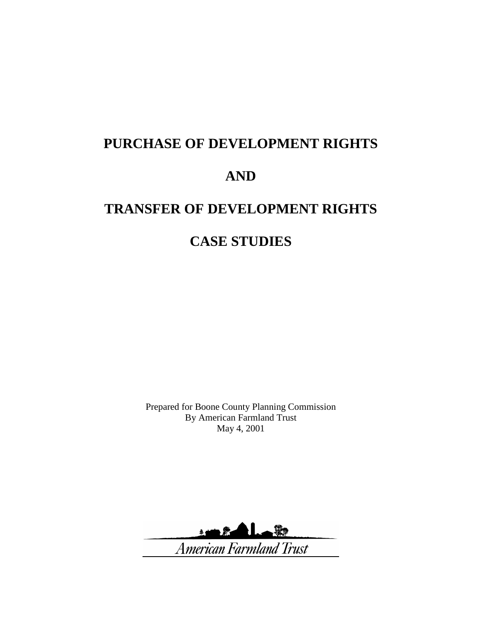# **PURCHASE OF DEVELOPMENT RIGHTS AND TRANSFER OF DEVELOPMENT RIGHTS**

# **CASE STUDIES**

Prepared for Boone County Planning Commission By American Farmland Trust May 4, 2001

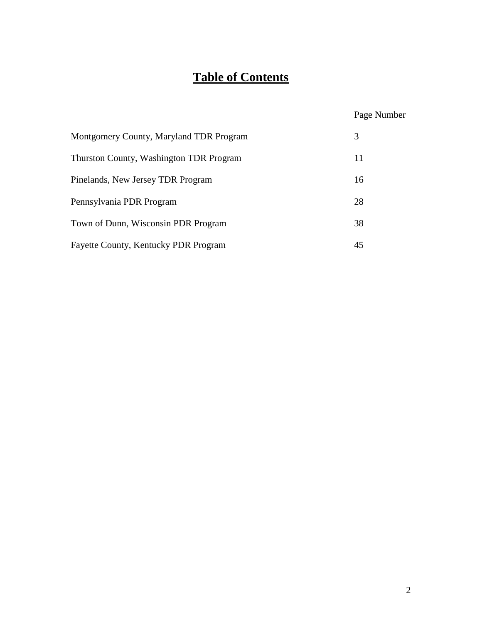# **Table of Contents**

# Page Number

| Montgomery County, Maryland TDR Program     | 3  |
|---------------------------------------------|----|
| Thurston County, Washington TDR Program     | 11 |
| Pinelands, New Jersey TDR Program           | 16 |
| Pennsylvania PDR Program                    | 28 |
| Town of Dunn, Wisconsin PDR Program         | 38 |
| <b>Fayette County, Kentucky PDR Program</b> | 45 |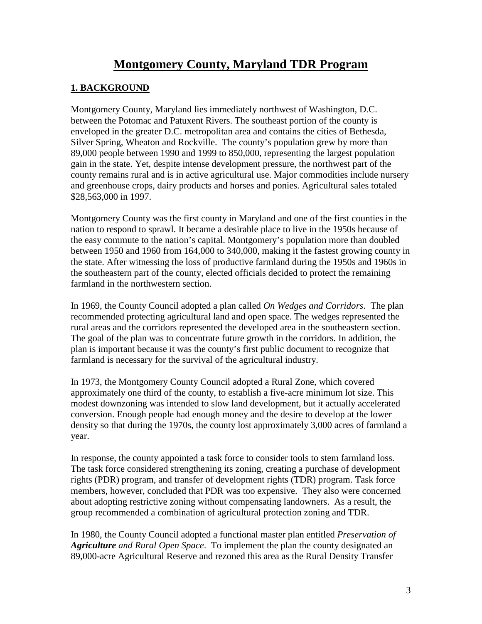# **Montgomery County, Maryland TDR Program**

#### **1. BACKGROUND**

Montgomery County, Maryland lies immediately northwest of Washington, D.C. between the Potomac and Patuxent Rivers. The southeast portion of the county is enveloped in the greater D.C. metropolitan area and contains the cities of Bethesda, Silver Spring, Wheaton and Rockville. The county's population grew by more than 89,000 people between 1990 and 1999 to 850,000, representing the largest population gain in the state. Yet, despite intense development pressure, the northwest part of the county remains rural and is in active agricultural use. Major commodities include nursery and greenhouse crops, dairy products and horses and ponies. Agricultural sales totaled \$28,563,000 in 1997.

Montgomery County was the first county in Maryland and one of the first counties in the nation to respond to sprawl. It became a desirable place to live in the 1950s because of the easy commute to the nation's capital. Montgomery's population more than doubled between 1950 and 1960 from 164,000 to 340,000, making it the fastest growing county in the state. After witnessing the loss of productive farmland during the 1950s and 1960s in the southeastern part of the county, elected officials decided to protect the remaining farmland in the northwestern section.

In 1969, the County Council adopted a plan called *On Wedges and Corridors*. The plan recommended protecting agricultural land and open space. The wedges represented the rural areas and the corridors represented the developed area in the southeastern section. The goal of the plan was to concentrate future growth in the corridors. In addition, the plan is important because it was the county's first public document to recognize that farmland is necessary for the survival of the agricultural industry.

In 1973, the Montgomery County Council adopted a Rural Zone, which covered approximately one third of the county, to establish a five-acre minimum lot size. This modest downzoning was intended to slow land development, but it actually accelerated conversion. Enough people had enough money and the desire to develop at the lower density so that during the 1970s, the county lost approximately 3,000 acres of farmland a year.

In response, the county appointed a task force to consider tools to stem farmland loss. The task force considered strengthening its zoning, creating a purchase of development rights (PDR) program, and transfer of development rights (TDR) program. Task force members, however, concluded that PDR was too expensive. They also were concerned about adopting restrictive zoning without compensating landowners. As a result, the group recommended a combination of agricultural protection zoning and TDR.

In 1980, the County Council adopted a functional master plan entitled *Preservation of Agriculture and Rural Open Space*. To implement the plan the county designated an 89,000-acre Agricultural Reserve and rezoned this area as the Rural Density Transfer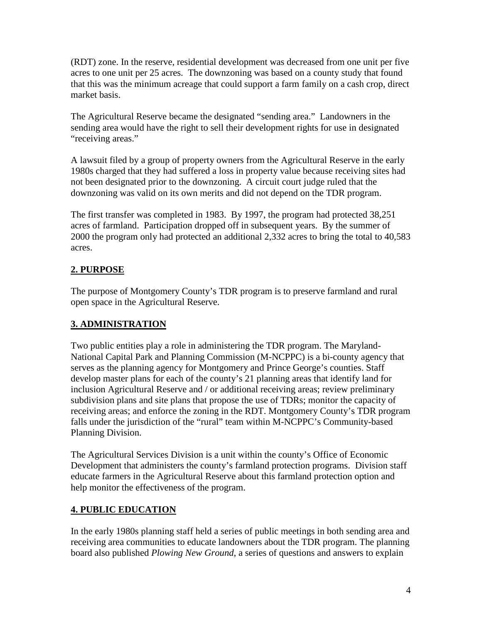(RDT) zone. In the reserve, residential development was decreased from one unit per five acres to one unit per 25 acres. The downzoning was based on a county study that found that this was the minimum acreage that could support a farm family on a cash crop, direct market basis.

The Agricultural Reserve became the designated "sending area." Landowners in the sending area would have the right to sell their development rights for use in designated "receiving areas."

A lawsuit filed by a group of property owners from the Agricultural Reserve in the early 1980s charged that they had suffered a loss in property value because receiving sites had not been designated prior to the downzoning. A circuit court judge ruled that the downzoning was valid on its own merits and did not depend on the TDR program.

The first transfer was completed in 1983. By 1997, the program had protected 38,251 acres of farmland. Participation dropped off in subsequent years. By the summer of 2000 the program only had protected an additional 2,332 acres to bring the total to 40,583 acres.

# **2. PURPOSE**

The purpose of Montgomery County's TDR program is to preserve farmland and rural open space in the Agricultural Reserve.

# **3. ADMINISTRATION**

Two public entities play a role in administering the TDR program. The Maryland-National Capital Park and Planning Commission (M-NCPPC) is a bi-county agency that serves as the planning agency for Montgomery and Prince George's counties. Staff develop master plans for each of the county's 21 planning areas that identify land for inclusion Agricultural Reserve and / or additional receiving areas; review preliminary subdivision plans and site plans that propose the use of TDRs; monitor the capacity of receiving areas; and enforce the zoning in the RDT. Montgomery County's TDR program falls under the jurisdiction of the "rural" team within M-NCPPC's Community-based Planning Division.

The Agricultural Services Division is a unit within the county's Office of Economic Development that administers the county's farmland protection programs. Division staff educate farmers in the Agricultural Reserve about this farmland protection option and help monitor the effectiveness of the program.

# **4. PUBLIC EDUCATION**

In the early 1980s planning staff held a series of public meetings in both sending area and receiving area communities to educate landowners about the TDR program. The planning board also published *Plowing New Ground*, a series of questions and answers to explain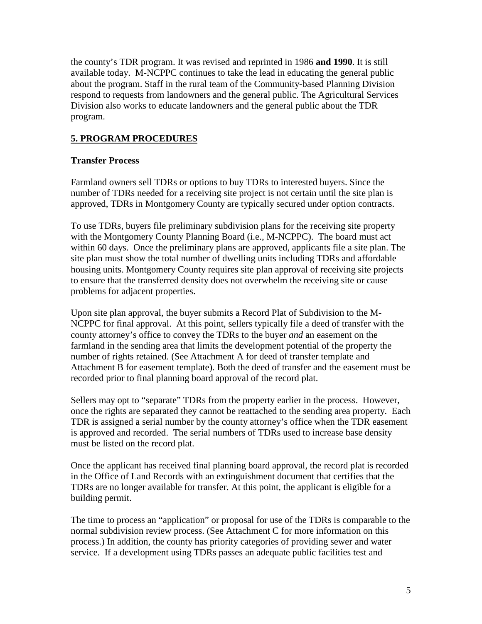the county's TDR program. It was revised and reprinted in 1986 **and 1990**. It is still available today. M-NCPPC continues to take the lead in educating the general public about the program. Staff in the rural team of the Community-based Planning Division respond to requests from landowners and the general public. The Agricultural Services Division also works to educate landowners and the general public about the TDR program.

# **5. PROGRAM PROCEDURES**

## **Transfer Process**

Farmland owners sell TDRs or options to buy TDRs to interested buyers. Since the number of TDRs needed for a receiving site project is not certain until the site plan is approved, TDRs in Montgomery County are typically secured under option contracts.

To use TDRs, buyers file preliminary subdivision plans for the receiving site property with the Montgomery County Planning Board (i.e., M-NCPPC). The board must act within 60 days. Once the preliminary plans are approved, applicants file a site plan. The site plan must show the total number of dwelling units including TDRs and affordable housing units. Montgomery County requires site plan approval of receiving site projects to ensure that the transferred density does not overwhelm the receiving site or cause problems for adjacent properties.

Upon site plan approval, the buyer submits a Record Plat of Subdivision to the M-NCPPC for final approval. At this point, sellers typically file a deed of transfer with the county attorney's office to convey the TDRs to the buyer *and* an easement on the farmland in the sending area that limits the development potential of the property the number of rights retained. (See Attachment A for deed of transfer template and Attachment B for easement template). Both the deed of transfer and the easement must be recorded prior to final planning board approval of the record plat.

Sellers may opt to "separate" TDRs from the property earlier in the process. However, once the rights are separated they cannot be reattached to the sending area property. Each TDR is assigned a serial number by the county attorney's office when the TDR easement is approved and recorded. The serial numbers of TDRs used to increase base density must be listed on the record plat.

Once the applicant has received final planning board approval, the record plat is recorded in the Office of Land Records with an extinguishment document that certifies that the TDRs are no longer available for transfer. At this point, the applicant is eligible for a building permit.

The time to process an "application" or proposal for use of the TDRs is comparable to the normal subdivision review process. (See Attachment C for more information on this process.) In addition, the county has priority categories of providing sewer and water service. If a development using TDRs passes an adequate public facilities test and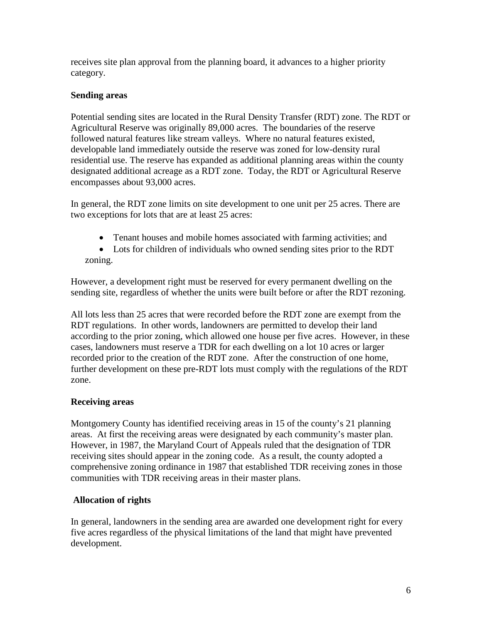receives site plan approval from the planning board, it advances to a higher priority category.

# **Sending areas**

Potential sending sites are located in the Rural Density Transfer (RDT) zone. The RDT or Agricultural Reserve was originally 89,000 acres. The boundaries of the reserve followed natural features like stream valleys. Where no natural features existed, developable land immediately outside the reserve was zoned for low-density rural residential use. The reserve has expanded as additional planning areas within the county designated additional acreage as a RDT zone. Today, the RDT or Agricultural Reserve encompasses about 93,000 acres.

In general, the RDT zone limits on site development to one unit per 25 acres. There are two exceptions for lots that are at least 25 acres:

- Tenant houses and mobile homes associated with farming activities; and
- Lots for children of individuals who owned sending sites prior to the RDT zoning.

However, a development right must be reserved for every permanent dwelling on the sending site, regardless of whether the units were built before or after the RDT rezoning.

All lots less than 25 acres that were recorded before the RDT zone are exempt from the RDT regulations. In other words, landowners are permitted to develop their land according to the prior zoning, which allowed one house per five acres. However, in these cases, landowners must reserve a TDR for each dwelling on a lot 10 acres or larger recorded prior to the creation of the RDT zone. After the construction of one home, further development on these pre-RDT lots must comply with the regulations of the RDT zone.

# **Receiving areas**

Montgomery County has identified receiving areas in 15 of the county's 21 planning areas. At first the receiving areas were designated by each community's master plan. However, in 1987, the Maryland Court of Appeals ruled that the designation of TDR receiving sites should appear in the zoning code. As a result, the county adopted a comprehensive zoning ordinance in 1987 that established TDR receiving zones in those communities with TDR receiving areas in their master plans.

# **Allocation of rights**

In general, landowners in the sending area are awarded one development right for every five acres regardless of the physical limitations of the land that might have prevented development.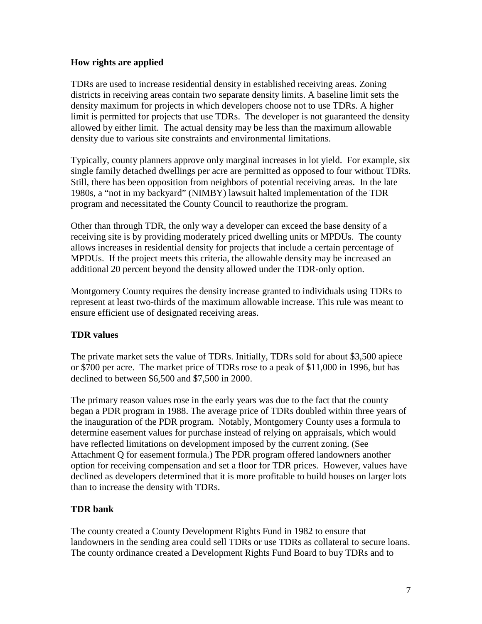#### **How rights are applied**

TDRs are used to increase residential density in established receiving areas. Zoning districts in receiving areas contain two separate density limits. A baseline limit sets the density maximum for projects in which developers choose not to use TDRs. A higher limit is permitted for projects that use TDRs. The developer is not guaranteed the density allowed by either limit. The actual density may be less than the maximum allowable density due to various site constraints and environmental limitations.

Typically, county planners approve only marginal increases in lot yield. For example, six single family detached dwellings per acre are permitted as opposed to four without TDRs. Still, there has been opposition from neighbors of potential receiving areas. In the late 1980s, a "not in my backyard" (NIMBY) lawsuit halted implementation of the TDR program and necessitated the County Council to reauthorize the program.

Other than through TDR, the only way a developer can exceed the base density of a receiving site is by providing moderately priced dwelling units or MPDUs. The county allows increases in residential density for projects that include a certain percentage of MPDUs. If the project meets this criteria, the allowable density may be increased an additional 20 percent beyond the density allowed under the TDR-only option.

Montgomery County requires the density increase granted to individuals using TDRs to represent at least two-thirds of the maximum allowable increase. This rule was meant to ensure efficient use of designated receiving areas.

#### **TDR values**

The private market sets the value of TDRs. Initially, TDRs sold for about \$3,500 apiece or \$700 per acre. The market price of TDRs rose to a peak of \$11,000 in 1996, but has declined to between \$6,500 and \$7,500 in 2000.

The primary reason values rose in the early years was due to the fact that the county began a PDR program in 1988. The average price of TDRs doubled within three years of the inauguration of the PDR program. Notably, Montgomery County uses a formula to determine easement values for purchase instead of relying on appraisals, which would have reflected limitations on development imposed by the current zoning. (See Attachment Q for easement formula.) The PDR program offered landowners another option for receiving compensation and set a floor for TDR prices. However, values have declined as developers determined that it is more profitable to build houses on larger lots than to increase the density with TDRs.

#### **TDR bank**

The county created a County Development Rights Fund in 1982 to ensure that landowners in the sending area could sell TDRs or use TDRs as collateral to secure loans. The county ordinance created a Development Rights Fund Board to buy TDRs and to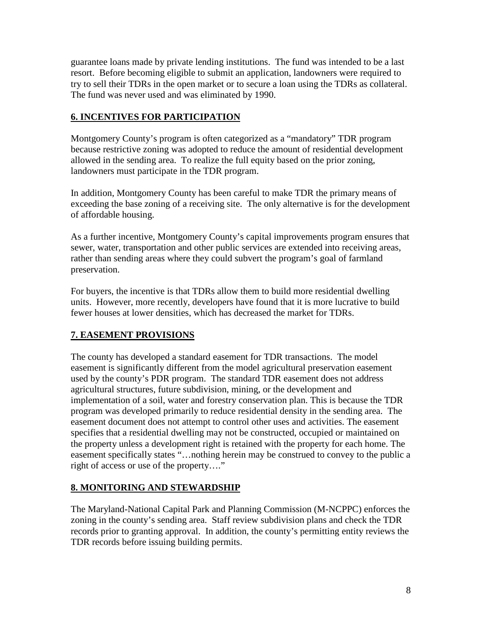guarantee loans made by private lending institutions. The fund was intended to be a last resort. Before becoming eligible to submit an application, landowners were required to try to sell their TDRs in the open market or to secure a loan using the TDRs as collateral. The fund was never used and was eliminated by 1990.

# **6. INCENTIVES FOR PARTICIPATION**

Montgomery County's program is often categorized as a "mandatory" TDR program because restrictive zoning was adopted to reduce the amount of residential development allowed in the sending area. To realize the full equity based on the prior zoning, landowners must participate in the TDR program.

In addition, Montgomery County has been careful to make TDR the primary means of exceeding the base zoning of a receiving site. The only alternative is for the development of affordable housing.

As a further incentive, Montgomery County's capital improvements program ensures that sewer, water, transportation and other public services are extended into receiving areas, rather than sending areas where they could subvert the program's goal of farmland preservation.

For buyers, the incentive is that TDRs allow them to build more residential dwelling units. However, more recently, developers have found that it is more lucrative to build fewer houses at lower densities, which has decreased the market for TDRs.

# **7. EASEMENT PROVISIONS**

The county has developed a standard easement for TDR transactions. The model easement is significantly different from the model agricultural preservation easement used by the county's PDR program. The standard TDR easement does not address agricultural structures, future subdivision, mining, or the development and implementation of a soil, water and forestry conservation plan. This is because the TDR program was developed primarily to reduce residential density in the sending area. The easement document does not attempt to control other uses and activities. The easement specifies that a residential dwelling may not be constructed, occupied or maintained on the property unless a development right is retained with the property for each home. The easement specifically states "…nothing herein may be construed to convey to the public a right of access or use of the property…."

#### **8. MONITORING AND STEWARDSHIP**

The Maryland-National Capital Park and Planning Commission (M-NCPPC) enforces the zoning in the county's sending area. Staff review subdivision plans and check the TDR records prior to granting approval. In addition, the county's permitting entity reviews the TDR records before issuing building permits.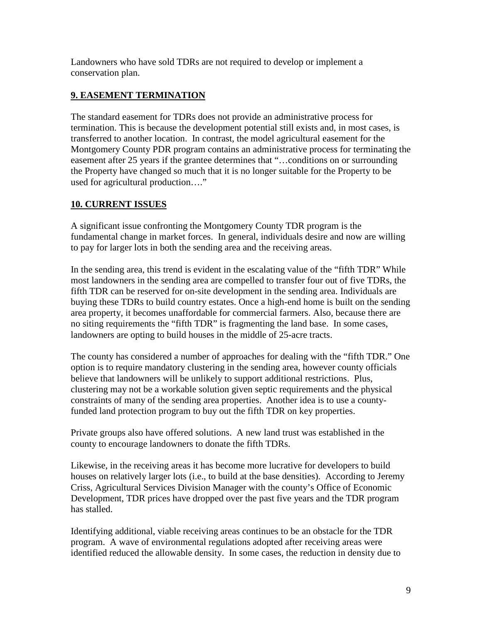Landowners who have sold TDRs are not required to develop or implement a conservation plan.

# **9. EASEMENT TERMINATION**

The standard easement for TDRs does not provide an administrative process for termination. This is because the development potential still exists and, in most cases, is transferred to another location. In contrast, the model agricultural easement for the Montgomery County PDR program contains an administrative process for terminating the easement after 25 years if the grantee determines that "…conditions on or surrounding the Property have changed so much that it is no longer suitable for the Property to be used for agricultural production…."

# **10. CURRENT ISSUES**

A significant issue confronting the Montgomery County TDR program is the fundamental change in market forces. In general, individuals desire and now are willing to pay for larger lots in both the sending area and the receiving areas.

In the sending area, this trend is evident in the escalating value of the "fifth TDR" While most landowners in the sending area are compelled to transfer four out of five TDRs, the fifth TDR can be reserved for on-site development in the sending area. Individuals are buying these TDRs to build country estates. Once a high-end home is built on the sending area property, it becomes unaffordable for commercial farmers. Also, because there are no siting requirements the "fifth TDR" is fragmenting the land base. In some cases, landowners are opting to build houses in the middle of 25-acre tracts.

The county has considered a number of approaches for dealing with the "fifth TDR." One option is to require mandatory clustering in the sending area, however county officials believe that landowners will be unlikely to support additional restrictions. Plus, clustering may not be a workable solution given septic requirements and the physical constraints of many of the sending area properties. Another idea is to use a countyfunded land protection program to buy out the fifth TDR on key properties.

Private groups also have offered solutions. A new land trust was established in the county to encourage landowners to donate the fifth TDRs.

Likewise, in the receiving areas it has become more lucrative for developers to build houses on relatively larger lots (i.e., to build at the base densities). According to Jeremy Criss, Agricultural Services Division Manager with the county's Office of Economic Development, TDR prices have dropped over the past five years and the TDR program has stalled.

Identifying additional, viable receiving areas continues to be an obstacle for the TDR program. A wave of environmental regulations adopted after receiving areas were identified reduced the allowable density. In some cases, the reduction in density due to